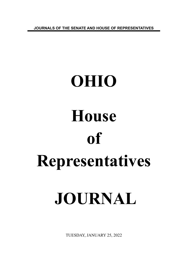**JOURNALS OF THE SENATE AND HOUSE OF REPRESENTATIVES**

# **OHIO House of Representatives JOURNAL**

TUESDAY, JANUARY 25, 2022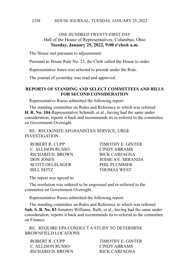#### HOUSE JOURNAL, TUESDAY, JANUARY 25, 2022 2358

# ONE HUNDRED TWENTY-FIRST DAY Hall of the House of Representatives, Columbus, Ohio **Tuesday, January 25, 2022, 9:00 o'clock a.m.**

The House met pursuant to adjournment.

Pursuant to House Rule No. 23, the Clerk called the House to order.

Representative Jones was selected to preside under the Rule.

The journal of yesterday was read and approved.

#### **REPORTS OF STANDING AND SELECT COMMITTEES AND BILLS FOR SECOND CONSIDERATION**

Representative Russo submitted the following report:

The standing committee on Rules and Reference to which was referred **H. R. No. 104**-Representative Schmidt, et al., having had the same under consideration, reports it back and recommends its re-referral to the committee on Government Oversight.

RE: RECOGNIZE AFGHANISTAN SERVICE; URGE INVESTIGATION.

ROBERT R. CUPP TIMOTHY E. GINTER C. ALLISON RUSSO CINDY ABRAMS RICHARD D. BROWN RICK CARFAGNA SCOTT OELSLAGER PHIL PLUMMER BILL SEITZ THOMAS WEST

DON JONES JESSICA E. MIRANDA

The report was agreed to.

The resolution was ordered to be engrossed and re-referred to the committee on Government Oversight.

Representative Russo submitted the following report:

The standing committee on Rules and Reference to which was referred **Sub. S. B. No. 83**-Senators Williams, Rulli, et al., having had the same under consideration, reports it back and recommends its re-referral to the committee on Finance.

RE: REQUIRE EPA CONDUCT A STUDY TO DETERMINE BROWNFIELD LOCATIONS

ROBERT R. CUPP TIMOTHY E. GINTER C. ALLISON RUSSO CINDY ABRAMS RICHARD D. BROWN RICK CARFAGNA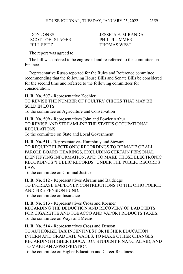SCOTT OELSLAGER
PHIL PLUMMER BILL SEITZ THOMAS WEST

DON JONES JESSICA E. MIRANDA

The report was agreed to.

The bill was ordered to be engrossed and re-referred to the committee on Finance.

Representative Russo reported for the Rules and Reference committee recommending that the following House Bills and Senate Bills be considered for the second time and referred to the following committees for consideration:

**H. B. No. 507** - Representative Koehler TO REVISE THE NUMBER OF POULTRY CHICKS THAT MAY BE SOLD IN LOTS. To the committee on Agriculture and Conservation

**H. B. No. 509** - Representatives John and Fowler Arthur TO REVISE AND STREAMLINE THE STATE'S OCCUPATIONAL REGULATIONS.

To the committee on State and Local Government

**H. B. No. 511** - Representatives Humphrey and Stewart TO REQUIRE ELECTRONIC RECORDINGS TO BE MADE OF ALL PAROLE BOARD HEARINGS, EXCLUDING CERTAIN PERSONAL IDENTIFYING INFORMATION, AND TO MAKE THOSE ELECTRONIC RECORDINGS "PUBLIC RECORDS" UNDER THE PUBLIC RECORDS LAW.

To the committee on Criminal Justice

**H. B. No. 512** - Representatives Abrams and Baldridge TO INCREASE EMPLOYER CONTRIBUTIONS TO THE OHIO POLICE AND FIRE PENSION FUND. To the committee on Insurance

**H. B. No. 513** - Representatives Cross and Roemer REGARDING THE DEDUCTION AND RECOVERY OF BAD DEBTS FOR CIGARETTE AND TOBACCO AND VAPOR PRODUCTS TAXES. To the committee on Ways and Means

**H. B. No. 514** - Representatives Cross and Denson TO AUTHORIZE TAX INCENTIVES FOR HIGHER EDUCATION INTERN AND GRADUATE WAGES, TO MAKE OTHER CHANGES REGARDING HIGHER EDUCATION STUDENT FINANCIAL AID, AND TO MAKE AN APPROPRIATION.

To the committee on Higher Education and Career Readiness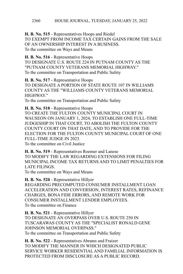**H. B. No. 515** - Representatives Hoops and Riedel TO EXEMPT FROM INCOME TAX CERTAIN GAINS FROM THE SALE OF AN OWNERSHIP INTEREST IN A BUSINESS. To the committee on Ways and Means

**H. B. No. 516** - Representative Hoops TO DESIGNATE U.S. ROUTE 224 IN PUTNAM COUNTY AS THE "PUTNAM COUNTY VETERANS MEMORIAL HIGHWAY." To the committee on Transportation and Public Safety

**H. B. No. 517** - Representative Hoops TO DESIGNATE A PORTION OF STATE ROUTE 107 IN WILLIAMS COUNTY AS THE "WILLIAMS COUNTY VETERANS MEMORIAL HIGHWAY."

To the committee on Transportation and Public Safety

**H. B. No. 518** - Representative Hoops TO CREATE THE FULTON COUNTY MUNICIPAL COURT IN WAUSEON ON JANUARY 1, 2024, TO ESTABLISH ONE FULL-TIME JUDGESHIP IN THAT COURT, TO ABOLISH THE FULTON COUNTY COUNTY COURT ON THAT DATE, AND TO PROVIDE FOR THE ELECTION FOR THE FULTON COUNTY MUNICIPAL COURT OF ONE FULL-TIME JUDGE IN 2023. To the committee on Civil Justice

**H. B. No. 519** - Representatives Roemer and Lanese TO MODIFY THE LAW REGARDING EXTENSIONS FOR FILING MUNICIPAL INCOME TAX RETURNS AND TO LIMIT PENALTIES FOR LATE FILINGS.

To the committee on Ways and Means

**H. B. No. 520** - Representative Hillyer REGARDING PRECOMPUTED CONSUMER INSTALLMENT LOAN ACCELERATION AND CONVERSION, INTEREST RATES, REFINANCE CHARGES, BONA FIDE ERRORS, AND REMOTE WORK FOR CONSUMER INSTALLMENT LENDER EMPLOYEES. To the committee on Finance

**H. B. No. 521** - Representative Hillyer TO DESIGNATE AN OVERPASS OVER U.S. ROUTE 250 IN TUSCARAWAS COUNTY AS THE "SPECIALIST RONALD GENE JOHNSON MEMORIAL OVERPASS." To the committee on Transportation and Public Safety

**H. B. No. 522** - Representatives Abrams and Fraizer TO MODIFY THE MANNER IN WHICH DESIGNATED PUBLIC SERVICE WORKER RESIDENTIAL AND FAMILIAL INFORMATION IS PROTECTED FROM DISCLOSURE AS A PUBLIC RECORD.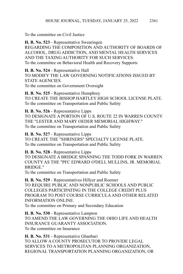To the committee on Civil Justice

**H. B. No. 523** - Representative Swearingen REGARDING THE COMPOSITION AND AUTHORITY OF BOARDS OF ALCOHOL, DRUG ADDICTION, AND MENTAL HEALTH SERVICES AND THE TAXING AUTHORITY FOR SUCH SERVICES. To the committee on Behavioral Health and Recovery Supports

**H. B. No. 524** - Representative Hall TO MODIFY THE LAW GOVERNING NOTIFICATIONS ISSUED BY STATE AGENCIES. To the committee on Government Oversight

**H. B. No. 525** - Representative Humphrey TO CREATE THE BISHOP HARTLEY HIGH SCHOOL LICENSE PLATE. To the committee on Transportation and Public Safety

**H. B. No. 526** - Representative Lipps TO DESIGNATE A PORTION OF U.S. ROUTE 22 IN WARREN COUNTY THE "LESTER AND MARY OEDER MEMORIAL HIGHWAY." To the committee on Transportation and Public Safety

**H. B. No. 527** - Representative Lipps TO CREATE THE "SHRINERS" SPECIALTY LICENSE PLATE. To the committee on Transportation and Public Safety

# **H. B. No. 528** - Representative Lipps

TO DESIGNATE A BRIDGE SPANNING THE TODD FORK IN WARREN COUNTY AS THE "PFC EDWARD O'DELL MULLINS, JR. MEMORIAL BRIDGE."

To the committee on Transportation and Public Safety

**H. B. No. 529** - Representatives Hillyer and Roemer TO REQUIRE PUBLIC AND NONPUBLIC SCHOOLS AND PUBLIC COLLEGES PARTICIPATING IN THE COLLEGE CREDIT PLUS PROGRAM TO POST COURSE CURRICULA AND OTHER RELATED INFORMATION ONLINE.

To the committee on Primary and Secondary Education

**H. B. No. 530** - Representative Lampton TO AMEND THE LAW GOVERNING THE OHIO LIFE AND HEALTH INSURANCE GUARANTY ASSOCIATION. To the committee on Insurance

**H. B. No. 531** - Representative Ghanbari TO ALLOW A COUNTY PROSECUTOR TO PROVIDE LEGAL SERVICES TO A METROPOLITAN PLANNING ORGANIZATION, REGIONAL TRANSPORTATION PLANNING ORGANIZATION, OR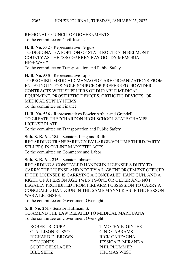REGIONAL COUNCIL OF GOVERNMENTS. To the committee on Civil Justice

**H. B. No. 532** - Representative Ferguson TO DESIGNATE A PORTION OF STATE ROUTE 7 IN BELMONT COUNTY AS THE "SSG GARREN RAY GOUDY MEMORIAL HIGHWAY"

To the committee on Transportation and Public Safety

**H. B. No. 535** - Representative Lipps TO PROHIBIT MEDICAID MANAGED CARE ORGANIZATIONS FROM ENTERING INTO SINGLE-SOURCE OR PREFERRED PROVIDER CONTRACTS WITH SUPPLIERS OF DURABLE MEDICAL EQUIPMENT, PROSTHETIC DEVICES, ORTHOTIC DEVICES, OR MEDICAL SUPPLY ITEMS. To the committee on Finance

**H. B. No. 536** - Representatives Fowler Arthur and Grendell TO CREATE THE "CHARDON HIGH SCHOOL STATE CHAMPS" LICENSE PLATE. To the committee on Transportation and Public Safety

**Sub. S. B. No. 184** - Senators Lang and Rulli REGARDING TRANSPARENCY BY LARGE-VOLUME THIRD-PARTY SELLERS IN ONLINE MARKETPLACES. To the committee on Commerce and Labor

**Sub. S. B. No. 215** - Senator Johnson REGARDING A CONCEALED HANDGUN LICENSEE'S DUTY TO CARRY THE LICENSE AND NOTIFY A LAW ENFORCEMENT OFFICER IF THE LICENSEE IS CARRYING A CONCEALED HANDGUN, AND A RIGHT OF A PERSON AGE TWENTY-ONE OR OLDER AND NOT LEGALLY PROHIBITED FROM FIREARM POSSESSION TO CARRY A CONCEALED HANDGUN IN THE SAME MANNER AS IF THE PERSON WAS A LICENSEE.

To the committee on Government Oversight

**S. B. No. 261** - Senator Huffman, S. TO AMEND THE LAW RELATED TO MEDICAL MARIJUANA. To the committee on Government Oversight

ROBERT R. CUPP TIMOTHY E. GINTER C. ALLISON RUSSO CINDY ABRAMS RICHARD D. BROWN RICK CARFAGNA DON JONES JESSICA E. MIRANDA SCOTT OELSLAGER
PHIL PLUMMER BILL SEITZ THOMAS WEST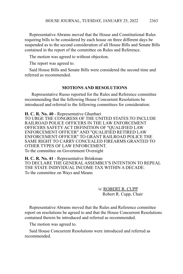Representative Abrams moved that the House and Constitutional Rules requiring bills to be considered by each house on three different days be suspended as to the second consideration of all House Bills and Senate Bills contained in the report of the committee on Rules and Reference.

The motion was agreed to without objection.

The report was agreed to.

Said House Bills and Senate Bills were considered the second time and referred as recommended.

#### **MOTIONS AND RESOLUTIONS**

 Representative Russo reported for the Rules and Reference committee recommending that the following House Concurrent Resolutions be introduced and referred to the following committees for consideration:

**H. C. R. No. 40** - Representative Ghanbari TO URGE THE CONGRESS OF THE UNITED STATES TO INCLUDE RAILROAD POLICE OFFICERS IN THE LAW ENFORCEMENT OFFICERS SAFETY ACT DEFINITION OF "QUALIFIED LAW ENFORCEMENT OFFICER" AND "QUALIFIED RETIRED LAW ENFORCEMENT OFFICER" TO GRANT RAILROAD POLICE THE SAME RIGHT TO CARRY CONCEALED FIREARMS GRANTED TO OTHER TYPES OF LAW ENFORCEMENT. To the committee on Government Oversight

**H. C. R. No. 41** - Representative Brinkman TO DECLARE THE GENERAL ASSEMBLY'S INTENTION TO REPEAL THE STATE INDIVIDUAL INCOME TAX WITHIN A DECADE. To the committee on Ways and Means

> /s/ ROBERT R. CUPP Robert R. Cupp, Chair

Representative Abrams moved that the Rules and Reference committee report on resolutions be agreed to and that the House Concurrent Resolutions contained therein be introduced and referred as recommended.

The motion was agreed to.

Said House Concurrent Resolutions were introduced and referred as recommended.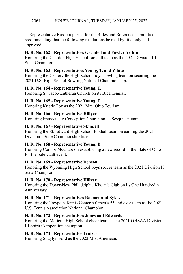#### HOUSE JOURNAL, TUESDAY, JANUARY 25, 2022 2364

Representative Russo reported for the Rules and Reference committee recommending that the following resolutions be read by title only and approved:

#### **H. R. No. 162** - **Representatives Grendell and Fowler Arthur**

Honoring the Chardon High School football team as the 2021 Division III State Champion.

#### **H. R. No. 163** - **Representatives Young, T. and White**

Honoring the Centerville High School boys bowling team on securing the 2021 U.S. High School Bowling National Championship.

#### **H. R. No. 164** - **Representative Young, T.**

Honoring St. Jacob Lutheran Church on its Bicentennial.

# **H. R. No. 165** - **Representative Young, T.**

Honoring Kristie Fox as the 2021 Mrs. Ohio Tourism.

#### **H. R. No. 166** - **Representative Hillyer**

Honoring Immaculate Conception Church on its Sesquicentennial.

# **H. R. No. 167** - **Representative Skindell**

Honoring the St. Edward High School football team on earning the 2021 Division I State Championship title.

# **H. R. No. 168** - **Representative Young, B.**

Honoring Connor McClure on establishing a new record in the State of Ohio for the pole vault event.

# **H. R. No. 169** - **Representative Denson**

Honoring the Wyoming High School boys soccer team as the 2021 Division II State Champion.

# **H. R. No. 170** - **Representative Hillyer**

Honoring the Dover-New Philadelphia Kiwanis Club on its One Hundredth Anniversary.

# **H. R. No. 171** - **Representatives Roemer and Sykes**

Honoring the Towpath Tennis Center 6.0 men's 55 and over team as the 2021 U.S. Tennis Association National Champion.

# **H. R. No. 172** - **Representatives Jones and Edwards**

Honoring the Marietta High School cheer team as the 2021 OHSAA Division III Spirit Competition champion.

# **H. R. No. 173** - **Representative Fraizer**

Honoring Shaylyn Ford as the 2022 Mrs. American.